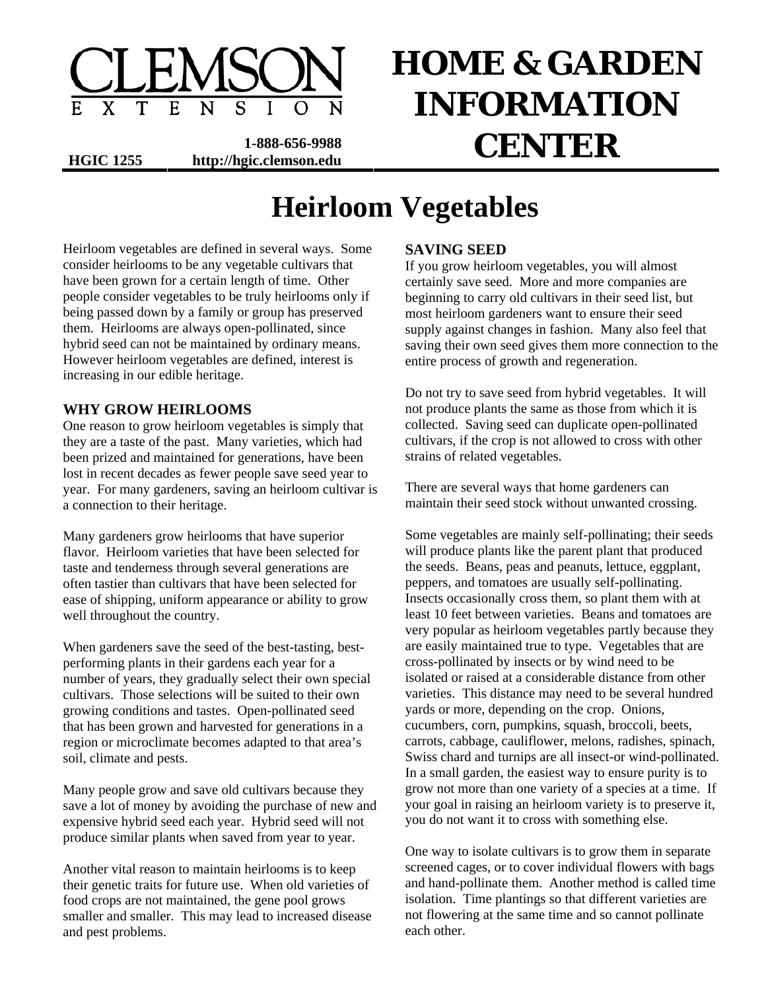

**1-888-656-9988 HGIC 1255 http://hgic.clemson.edu CENTER** 

# **HOME & GARDEN INFORMATION**

# **Heirloom Vegetables**

Heirloom vegetables are defined in several ways. Some consider heirlooms to be any vegetable cultivars that have been grown for a certain length of time. Other people consider vegetables to be truly heirlooms only if being passed down by a family or group has preserved them. Heirlooms are always open-pollinated, since hybrid seed can not be maintained by ordinary means. However heirloom vegetables are defined, interest is increasing in our edible heritage.

#### **WHY GROW HEIRLOOMS**

One reason to grow heirloom vegetables is simply that they are a taste of the past. Many varieties, which had been prized and maintained for generations, have been lost in recent decades as fewer people save seed year to year. For many gardeners, saving an heirloom cultivar is a connection to their heritage.

Many gardeners grow heirlooms that have superior flavor. Heirloom varieties that have been selected for taste and tenderness through several generations are often tastier than cultivars that have been selected for ease of shipping, uniform appearance or ability to grow well throughout the country.

When gardeners save the seed of the best-tasting, bestperforming plants in their gardens each year for a number of years, they gradually select their own special cultivars. Those selections will be suited to their own growing conditions and tastes. Open-pollinated seed that has been grown and harvested for generations in a region or microclimate becomes adapted to that area's soil, climate and pests.

Many people grow and save old cultivars because they save a lot of money by avoiding the purchase of new and expensive hybrid seed each year. Hybrid seed will not produce similar plants when saved from year to year.

Another vital reason to maintain heirlooms is to keep their genetic traits for future use. When old varieties of food crops are not maintained, the gene pool grows smaller and smaller. This may lead to increased disease and pest problems.

# **SAVING SEED**

If you grow heirloom vegetables, you will almost certainly save seed. More and more companies are beginning to carry old cultivars in their seed list, but most heirloom gardeners want to ensure their seed supply against changes in fashion. Many also feel that saving their own seed gives them more connection to the entire process of growth and regeneration.

Do not try to save seed from hybrid vegetables. It will not produce plants the same as those from which it is collected. Saving seed can duplicate open-pollinated cultivars, if the crop is not allowed to cross with other strains of related vegetables.

There are several ways that home gardeners can maintain their seed stock without unwanted crossing.

Some vegetables are mainly self-pollinating; their seeds will produce plants like the parent plant that produced the seeds. Beans, peas and peanuts, lettuce, eggplant, peppers, and tomatoes are usually self-pollinating. Insects occasionally cross them, so plant them with at least 10 feet between varieties. Beans and tomatoes are very popular as heirloom vegetables partly because they are easily maintained true to type. Vegetables that are cross-pollinated by insects or by wind need to be isolated or raised at a considerable distance from other varieties. This distance may need to be several hundred yards or more, depending on the crop. Onions, cucumbers, corn, pumpkins, squash, broccoli, beets, carrots, cabbage, cauliflower, melons, radishes, spinach, Swiss chard and turnips are all insect-or wind-pollinated. In a small garden, the easiest way to ensure purity is to grow not more than one variety of a species at a time. If your goal in raising an heirloom variety is to preserve it, you do not want it to cross with something else.

One way to isolate cultivars is to grow them in separate screened cages, or to cover individual flowers with bags and hand-pollinate them. Another method is called time isolation. Time plantings so that different varieties are not flowering at the same time and so cannot pollinate each other.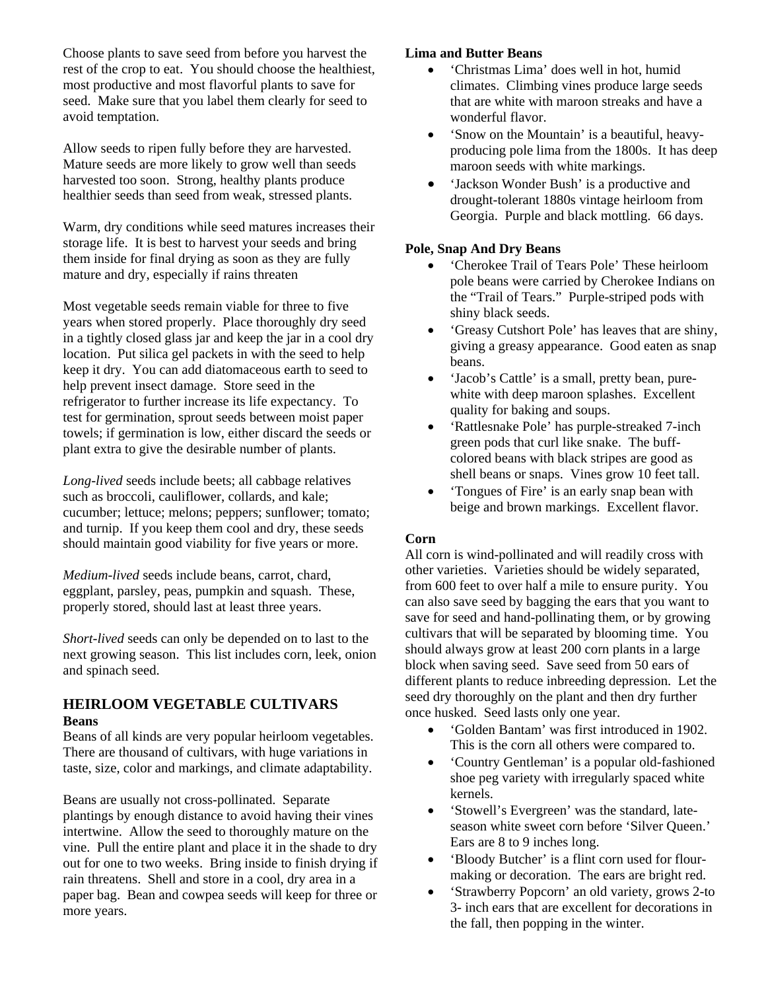Choose plants to save seed from before you harvest the rest of the crop to eat. You should choose the healthiest, most productive and most flavorful plants to save for seed. Make sure that you label them clearly for seed to avoid temptation.

Allow seeds to ripen fully before they are harvested. Mature seeds are more likely to grow well than seeds harvested too soon. Strong, healthy plants produce healthier seeds than seed from weak, stressed plants.

Warm, dry conditions while seed matures increases their storage life. It is best to harvest your seeds and bring them inside for final drying as soon as they are fully mature and dry, especially if rains threaten

Most vegetable seeds remain viable for three to five years when stored properly. Place thoroughly dry seed in a tightly closed glass jar and keep the jar in a cool dry location. Put silica gel packets in with the seed to help keep it dry. You can add diatomaceous earth to seed to help prevent insect damage. Store seed in the refrigerator to further increase its life expectancy. To test for germination, sprout seeds between moist paper towels; if germination is low, either discard the seeds or plant extra to give the desirable number of plants.

*Long-lived* seeds include beets; all cabbage relatives such as broccoli, cauliflower, collards, and kale; cucumber; lettuce; melons; peppers; sunflower; tomato; and turnip. If you keep them cool and dry, these seeds should maintain good viability for five years or more.

*Medium-lived* seeds include beans, carrot, chard, eggplant, parsley, peas, pumpkin and squash. These, properly stored, should last at least three years.

*Short-lived* seeds can only be depended on to last to the next growing season. This list includes corn, leek, onion and spinach seed.

#### **HEIRLOOM VEGETABLE CULTIVARS Beans**

Beans of all kinds are very popular heirloom vegetables. There are thousand of cultivars, with huge variations in taste, size, color and markings, and climate adaptability.

Beans are usually not cross-pollinated. Separate plantings by enough distance to avoid having their vines intertwine. Allow the seed to thoroughly mature on the vine. Pull the entire plant and place it in the shade to dry out for one to two weeks. Bring inside to finish drying if rain threatens. Shell and store in a cool, dry area in a paper bag. Bean and cowpea seeds will keep for three or more years.

#### **Lima and Butter Beans**

- 'Christmas Lima' does well in hot, humid climates. Climbing vines produce large seeds that are white with maroon streaks and have a wonderful flavor.
- 'Snow on the Mountain' is a beautiful, heavyproducing pole lima from the 1800s. It has deep maroon seeds with white markings.
- 'Jackson Wonder Bush' is a productive and drought-tolerant 1880s vintage heirloom from Georgia. Purple and black mottling. 66 days.

#### **Pole, Snap And Dry Beans**

- 'Cherokee Trail of Tears Pole' These heirloom pole beans were carried by Cherokee Indians on the "Trail of Tears." Purple-striped pods with shiny black seeds.
- 'Greasy Cutshort Pole' has leaves that are shiny, giving a greasy appearance. Good eaten as snap beans.
- 'Jacob's Cattle' is a small, pretty bean, purewhite with deep maroon splashes. Excellent quality for baking and soups.
- 'Rattlesnake Pole' has purple-streaked 7-inch green pods that curl like snake. The buffcolored beans with black stripes are good as shell beans or snaps. Vines grow 10 feet tall.
- 'Tongues of Fire' is an early snap bean with beige and brown markings. Excellent flavor.

#### **Corn**

All corn is wind-pollinated and will readily cross with other varieties. Varieties should be widely separated, from 600 feet to over half a mile to ensure purity. You can also save seed by bagging the ears that you want to save for seed and hand-pollinating them, or by growing cultivars that will be separated by blooming time. You should always grow at least 200 corn plants in a large block when saving seed. Save seed from 50 ears of different plants to reduce inbreeding depression. Let the seed dry thoroughly on the plant and then dry further once husked. Seed lasts only one year.

- 'Golden Bantam' was first introduced in 1902. This is the corn all others were compared to.
- 'Country Gentleman' is a popular old-fashioned shoe peg variety with irregularly spaced white kernels.
- 'Stowell's Evergreen' was the standard, lateseason white sweet corn before 'Silver Queen.' Ears are 8 to 9 inches long.
- 'Bloody Butcher' is a flint corn used for flourmaking or decoration. The ears are bright red.
- 'Strawberry Popcorn' an old variety, grows 2-to 3- inch ears that are excellent for decorations in the fall, then popping in the winter.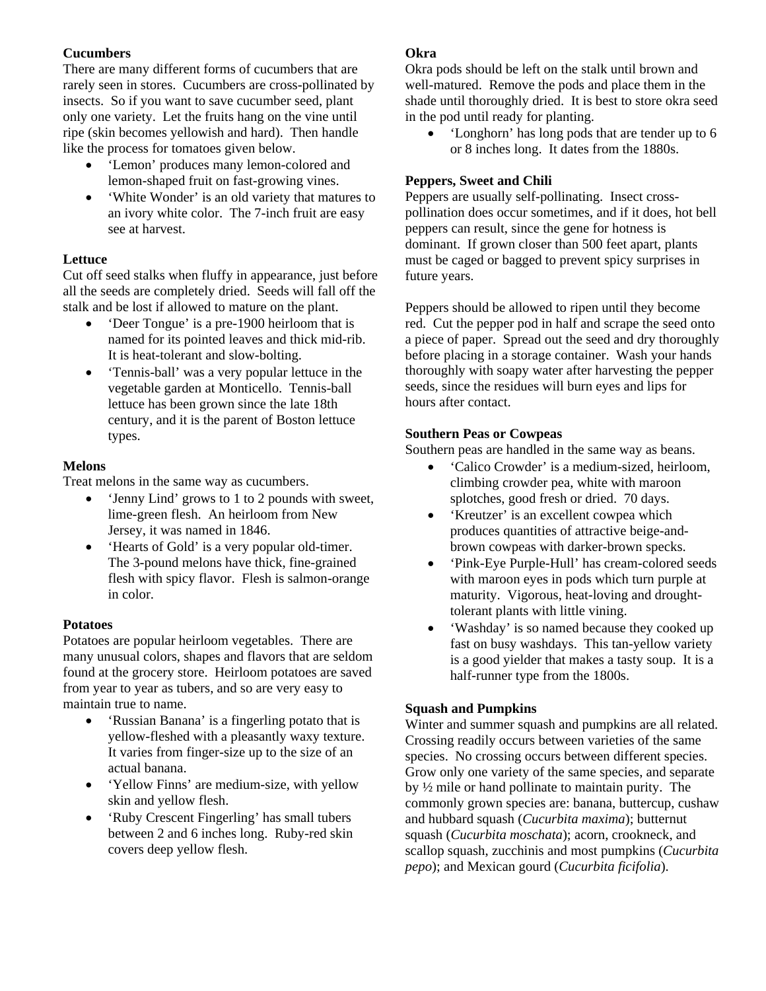#### **Cucumbers**

There are many different forms of cucumbers that are rarely seen in stores. Cucumbers are cross-pollinated by insects. So if you want to save cucumber seed, plant only one variety. Let the fruits hang on the vine until ripe (skin becomes yellowish and hard). Then handle like the process for tomatoes given below.

- 'Lemon' produces many lemon-colored and lemon-shaped fruit on fast-growing vines.
- 'White Wonder' is an old variety that matures to an ivory white color. The 7-inch fruit are easy see at harvest.

#### **Lettuce**

Cut off seed stalks when fluffy in appearance, just before all the seeds are completely dried. Seeds will fall off the stalk and be lost if allowed to mature on the plant.

- 'Deer Tongue' is a pre-1900 heirloom that is named for its pointed leaves and thick mid-rib. It is heat-tolerant and slow-bolting.
- 'Tennis-ball' was a very popular lettuce in the vegetable garden at Monticello. Tennis-ball lettuce has been grown since the late 18th century, and it is the parent of Boston lettuce types.

# **Melons**

Treat melons in the same way as cucumbers.

- 'Jenny Lind' grows to 1 to 2 pounds with sweet, lime-green flesh. An heirloom from New Jersey, it was named in 1846.
- 'Hearts of Gold' is a very popular old-timer. The 3-pound melons have thick, fine-grained flesh with spicy flavor. Flesh is salmon-orange in color.

# **Potatoes**

Potatoes are popular heirloom vegetables. There are many unusual colors, shapes and flavors that are seldom found at the grocery store. Heirloom potatoes are saved from year to year as tubers, and so are very easy to maintain true to name.

- 'Russian Banana' is a fingerling potato that is yellow-fleshed with a pleasantly waxy texture. It varies from finger-size up to the size of an actual banana.
- 'Yellow Finns' are medium-size, with yellow skin and yellow flesh.
- 'Ruby Crescent Fingerling' has small tubers between 2 and 6 inches long. Ruby-red skin covers deep yellow flesh.

# **Okra**

Okra pods should be left on the stalk until brown and well-matured. Remove the pods and place them in the shade until thoroughly dried. It is best to store okra seed in the pod until ready for planting.

• 'Longhorn' has long pods that are tender up to 6 or 8 inches long. It dates from the 1880s.

# **Peppers, Sweet and Chili**

Peppers are usually self-pollinating. Insect crosspollination does occur sometimes, and if it does, hot bell peppers can result, since the gene for hotness is dominant. If grown closer than 500 feet apart, plants must be caged or bagged to prevent spicy surprises in future years.

Peppers should be allowed to ripen until they become red. Cut the pepper pod in half and scrape the seed onto a piece of paper. Spread out the seed and dry thoroughly before placing in a storage container. Wash your hands thoroughly with soapy water after harvesting the pepper seeds, since the residues will burn eyes and lips for hours after contact.

#### **Southern Peas or Cowpeas**

Southern peas are handled in the same way as beans.

- 'Calico Crowder' is a medium-sized, heirloom, climbing crowder pea, white with maroon splotches, good fresh or dried. 70 days.
- 'Kreutzer' is an excellent cowpea which produces quantities of attractive beige-andbrown cowpeas with darker-brown specks.
- 'Pink-Eye Purple-Hull' has cream-colored seeds with maroon eyes in pods which turn purple at maturity. Vigorous, heat-loving and droughttolerant plants with little vining.
- 'Washday' is so named because they cooked up fast on busy washdays. This tan-yellow variety is a good yielder that makes a tasty soup. It is a half-runner type from the 1800s.

# **Squash and Pumpkins**

Winter and summer squash and pumpkins are all related. Crossing readily occurs between varieties of the same species. No crossing occurs between different species. Grow only one variety of the same species, and separate by ½ mile or hand pollinate to maintain purity. The commonly grown species are: banana, buttercup, cushaw and hubbard squash (*Cucurbita maxima*); butternut squash (*Cucurbita moschata*); acorn, crookneck, and scallop squash, zucchinis and most pumpkins (*Cucurbita pepo*); and Mexican gourd (*Cucurbita ficifolia*).